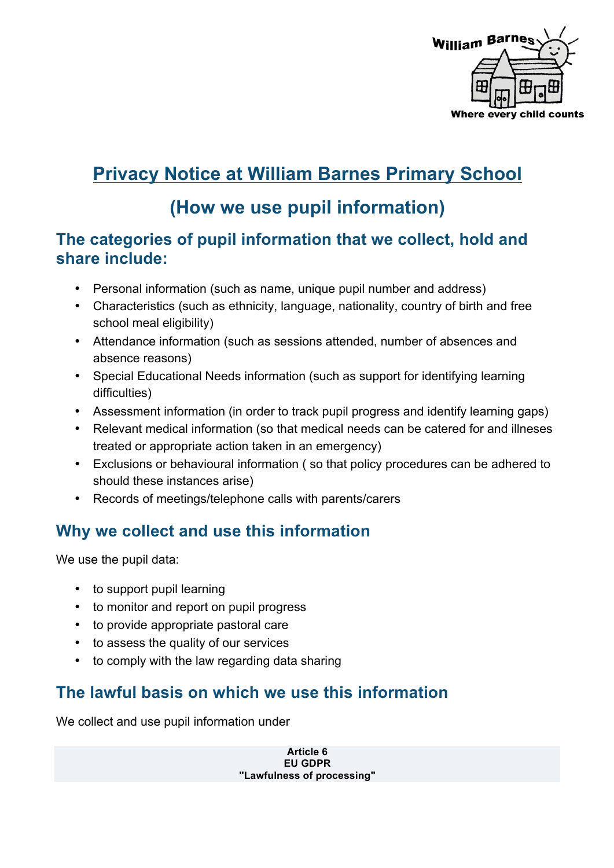

# **Privacy Notice at William Barnes Primary School**

## **(How we use pupil information)**

#### **The categories of pupil information that we collect, hold and share include:**

- Personal information (such as name, unique pupil number and address)
- Characteristics (such as ethnicity, language, nationality, country of birth and free school meal eligibility)
- Attendance information (such as sessions attended, number of absences and absence reasons)
- Special Educational Needs information (such as support for identifying learning difficulties)
- Assessment information (in order to track pupil progress and identify learning gaps)
- Relevant medical information (so that medical needs can be catered for and illneses treated or appropriate action taken in an emergency)
- Exclusions or behavioural information ( so that policy procedures can be adhered to should these instances arise)
- Records of meetings/telephone calls with parents/carers

#### **Why we collect and use this information**

We use the pupil data:

- to support pupil learning
- to monitor and report on pupil progress
- to provide appropriate pastoral care
- to assess the quality of our services
- to comply with the law regarding data sharing

#### **The lawful basis on which we use this information**

We collect and use pupil information under

**Article 6 EU GDPR "Lawfulness of processing"**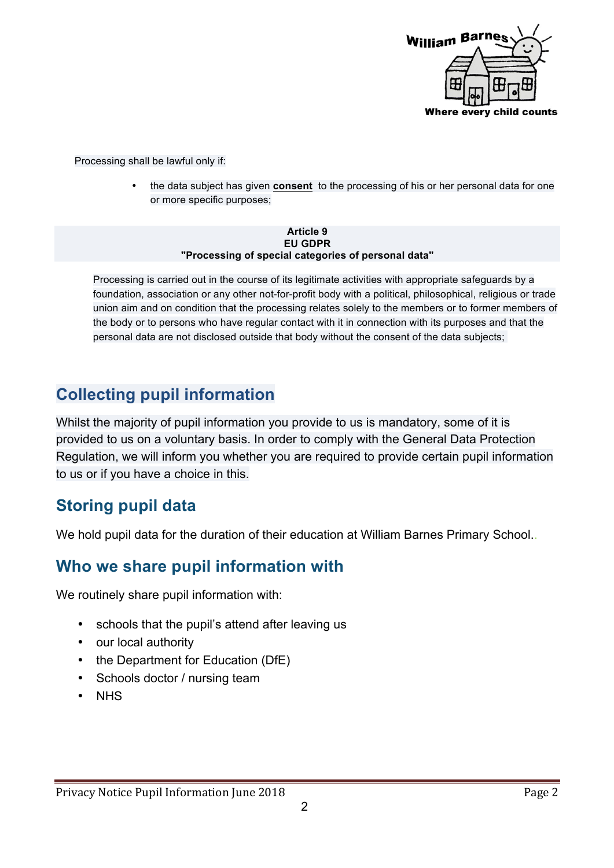

Processing shall be lawful only if:

• the data subject has given **consent** to the processing of his or her personal data for one or more specific purposes;

#### **Article 9 EU GDPR "Processing of special categories of personal data"**

Processing is carried out in the course of its legitimate activities with appropriate safeguards by a foundation, association or any other not-for-profit body with a political, philosophical, religious or trade union aim and on condition that the processing relates solely to the members or to former members of the body or to persons who have regular contact with it in connection with its purposes and that the personal data are not disclosed outside that body without the consent of the data subjects;

## **Collecting pupil information**

Whilst the majority of pupil information you provide to us is mandatory, some of it is provided to us on a voluntary basis. In order to comply with the General Data Protection Regulation, we will inform you whether you are required to provide certain pupil information to us or if you have a choice in this.

#### **Storing pupil data**

We hold pupil data for the duration of their education at William Barnes Primary School..

#### **Who we share pupil information with**

We routinely share pupil information with:

- schools that the pupil's attend after leaving us
- our local authority
- the Department for Education (DfE)
- Schools doctor / nursing team
- NHS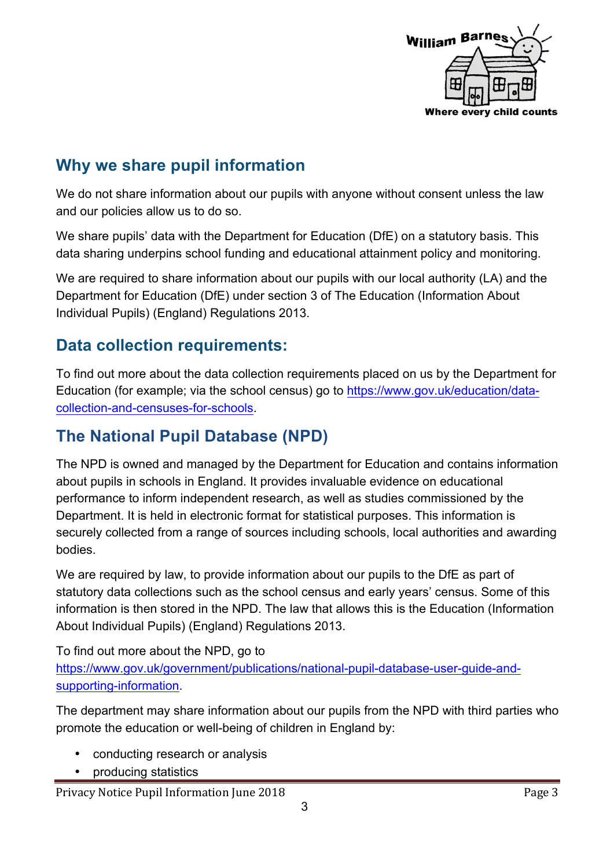

### **Why we share pupil information**

We do not share information about our pupils with anyone without consent unless the law and our policies allow us to do so.

We share pupils' data with the Department for Education (DfE) on a statutory basis. This data sharing underpins school funding and educational attainment policy and monitoring.

We are required to share information about our pupils with our local authority (LA) and the Department for Education (DfE) under section 3 of The Education (Information About Individual Pupils) (England) Regulations 2013.

#### **Data collection requirements:**

To find out more about the data collection requirements placed on us by the Department for Education (for example; via the school census) go to https://www.gov.uk/education/datacollection-and-censuses-for-schools.

#### **The National Pupil Database (NPD)**

The NPD is owned and managed by the Department for Education and contains information about pupils in schools in England. It provides invaluable evidence on educational performance to inform independent research, as well as studies commissioned by the Department. It is held in electronic format for statistical purposes. This information is securely collected from a range of sources including schools, local authorities and awarding bodies.

We are required by law, to provide information about our pupils to the DfE as part of statutory data collections such as the school census and early years' census. Some of this information is then stored in the NPD. The law that allows this is the Education (Information About Individual Pupils) (England) Regulations 2013.

To find out more about the NPD, go to https://www.gov.uk/government/publications/national-pupil-database-user-guide-andsupporting-information.

The department may share information about our pupils from the NPD with third parties who promote the education or well-being of children in England by:

- conducting research or analysis
- producing statistics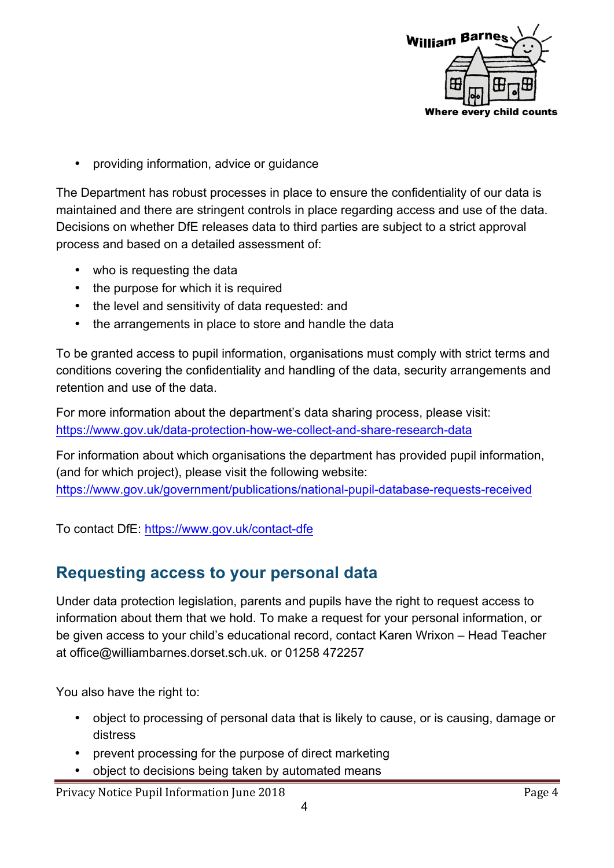

• providing information, advice or guidance

The Department has robust processes in place to ensure the confidentiality of our data is maintained and there are stringent controls in place regarding access and use of the data. Decisions on whether DfE releases data to third parties are subject to a strict approval process and based on a detailed assessment of:

- who is requesting the data
- the purpose for which it is required
- the level and sensitivity of data requested: and
- the arrangements in place to store and handle the data

To be granted access to pupil information, organisations must comply with strict terms and conditions covering the confidentiality and handling of the data, security arrangements and retention and use of the data.

For more information about the department's data sharing process, please visit: https://www.gov.uk/data-protection-how-we-collect-and-share-research-data

For information about which organisations the department has provided pupil information, (and for which project), please visit the following website: https://www.gov.uk/government/publications/national-pupil-database-requests-received

To contact DfE: https://www.gov.uk/contact-dfe

#### **Requesting access to your personal data**

Under data protection legislation, parents and pupils have the right to request access to information about them that we hold. To make a request for your personal information, or be given access to your child's educational record, contact Karen Wrixon – Head Teacher at office@williambarnes.dorset.sch.uk. or 01258 472257

You also have the right to:

- object to processing of personal data that is likely to cause, or is causing, damage or distress
- prevent processing for the purpose of direct marketing
- object to decisions being taken by automated means